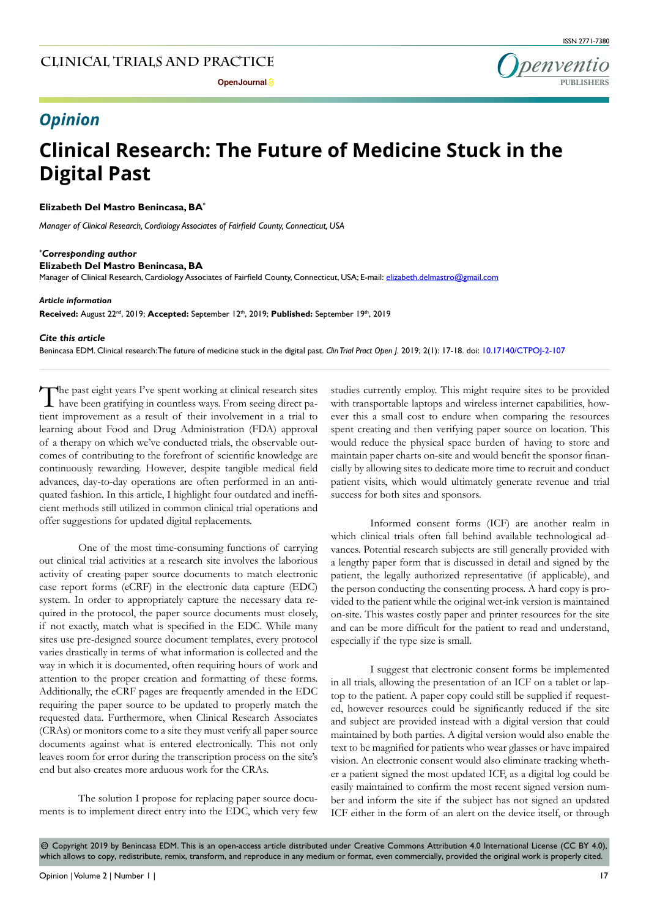

## *Opinion*

# **Clinical Research: The Future of Medicine Stuck in the Digital Past**

### **Elizabeth Del Mastro Benincasa, BA\***

*Manager of Clinical Research, Cordiology Associates of Fairfield County, Connecticut, USA*

#### *\* Corresponding author*

**Elizabeth Del Mastro Benincasa, BA**

Manager of Clinical Research, Cardiology Associates of Fairfield County, Connecticut, USA; E-mail: elizabeth.delmastro@gmail.com

#### *Article information*

Received: August 22<sup>nd</sup>, 2019; Accepted: September 12<sup>th</sup>, 2019; Published: September 19<sup>th</sup>, 2019

#### *Cite this article*

Benincasa EDM. Clinical research: The future of medicine stuck in the digital past. *Clin Trial Pract Open J*. 2019; 2(1): 17-18. doi: [10.17140/CTPOJ-2-107](http://dx.doi.org/10.17140/CTPOJ-2-107)

The past eight years I've spent working at clinical research sites have been gratifying in countless ways. From seeing direct patient improvement as a result of their involvement in a trial to learning about Food and Drug Administration (FDA) approval of a therapy on which we've conducted trials, the observable outcomes of contributing to the forefront of scientific knowledge are continuously rewarding. However, despite tangible medical field advances, day-to-day operations are often performed in an antiquated fashion. In this article, I highlight four outdated and inefficient methods still utilized in common clinical trial operations and offer suggestions for updated digital replacements.

One of the most time-consuming functions of carrying out clinical trial activities at a research site involves the laborious activity of creating paper source documents to match electronic case report forms (eCRF) in the electronic data capture (EDC) system. In order to appropriately capture the necessary data required in the protocol, the paper source documents must closely, if not exactly, match what is specified in the EDC. While many sites use pre-designed source document templates, every protocol varies drastically in terms of what information is collected and the way in which it is documented, often requiring hours of work and attention to the proper creation and formatting of these forms. Additionally, the eCRF pages are frequently amended in the EDC requiring the paper source to be updated to properly match the requested data. Furthermore, when Clinical Research Associates (CRAs) or monitors come to a site they must verify all paper source documents against what is entered electronically. This not only leaves room for error during the transcription process on the site's end but also creates more arduous work for the CRAs.

The solution I propose for replacing paper source documents is to implement direct entry into the EDC, which very few studies currently employ. This might require sites to be provided with transportable laptops and wireless internet capabilities, however this a small cost to endure when comparing the resources spent creating and then verifying paper source on location. This would reduce the physical space burden of having to store and maintain paper charts on-site and would benefit the sponsor financially by allowing sites to dedicate more time to recruit and conduct patient visits, which would ultimately generate revenue and trial success for both sites and sponsors.

Informed consent forms (ICF) are another realm in which clinical trials often fall behind available technological advances. Potential research subjects are still generally provided with a lengthy paper form that is discussed in detail and signed by the patient, the legally authorized representative (if applicable), and the person conducting the consenting process. A hard copy is provided to the patient while the original wet-ink version is maintained on-site. This wastes costly paper and printer resources for the site and can be more difficult for the patient to read and understand, especially if the type size is small.

I suggest that electronic consent forms be implemented in all trials, allowing the presentation of an ICF on a tablet or laptop to the patient. A paper copy could still be supplied if requested, however resources could be significantly reduced if the site and subject are provided instead with a digital version that could maintained by both parties. A digital version would also enable the text to be magnified for patients who wear glasses or have impaired vision. An electronic consent would also eliminate tracking whether a patient signed the most updated ICF, as a digital log could be easily maintained to confirm the most recent signed version number and inform the site if the subject has not signed an updated ICF either in the form of an alert on the device itself, or through

 $\circledcirc$  Copyright 2019 by Benincasa EDM. This is an open-access article distributed under Creative Commons Attribution 4.0 International License (CC BY 4.0), which allows to copy, redistribute, remix, transform, and reproduce in any medium or format, even commercially, provided the original work is properly cited.